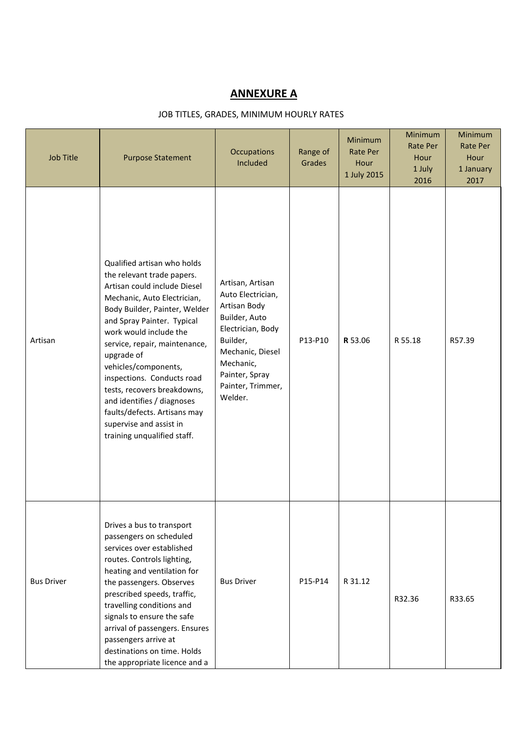## ANNEXURE A

## JOB TITLES, GRADES, MINIMUM HOURLY RATES

| Job Title         | <b>Purpose Statement</b>                                                                                                                                                                                                                                                                                                                                                                                                                                                      | <b>Occupations</b><br>Included                                                                                                                                                             | Range of<br>Grades | <b>Minimum</b><br><b>Rate Per</b><br>Hour<br>1 July 2015 | Minimum<br><b>Rate Per</b><br>Hour<br>1 July<br>2016 | Minimum<br>Rate Per<br>Hour<br>1 January<br>2017 |
|-------------------|-------------------------------------------------------------------------------------------------------------------------------------------------------------------------------------------------------------------------------------------------------------------------------------------------------------------------------------------------------------------------------------------------------------------------------------------------------------------------------|--------------------------------------------------------------------------------------------------------------------------------------------------------------------------------------------|--------------------|----------------------------------------------------------|------------------------------------------------------|--------------------------------------------------|
| Artisan           | Qualified artisan who holds<br>the relevant trade papers.<br>Artisan could include Diesel<br>Mechanic, Auto Electrician,<br>Body Builder, Painter, Welder<br>and Spray Painter. Typical<br>work would include the<br>service, repair, maintenance,<br>upgrade of<br>vehicles/components,<br>inspections. Conducts road<br>tests, recovers breakdowns,<br>and identifies / diagnoses<br>faults/defects. Artisans may<br>supervise and assist in<br>training unqualified staff. | Artisan, Artisan<br>Auto Electrician,<br>Artisan Body<br>Builder, Auto<br>Electrician, Body<br>Builder,<br>Mechanic, Diesel<br>Mechanic,<br>Painter, Spray<br>Painter, Trimmer,<br>Welder. | P13-P10            | R 53.06                                                  | R 55.18                                              | R57.39                                           |
| <b>Bus Driver</b> | Drives a bus to transport<br>passengers on scheduled<br>services over established<br>routes. Controls lighting,<br>heating and ventilation for<br>the passengers. Observes<br>prescribed speeds, traffic,<br>travelling conditions and<br>signals to ensure the safe<br>arrival of passengers. Ensures<br>passengers arrive at<br>destinations on time. Holds<br>the appropriate licence and a                                                                                | <b>Bus Driver</b>                                                                                                                                                                          | P15-P14            | R 31.12                                                  | R32.36                                               | R33.65                                           |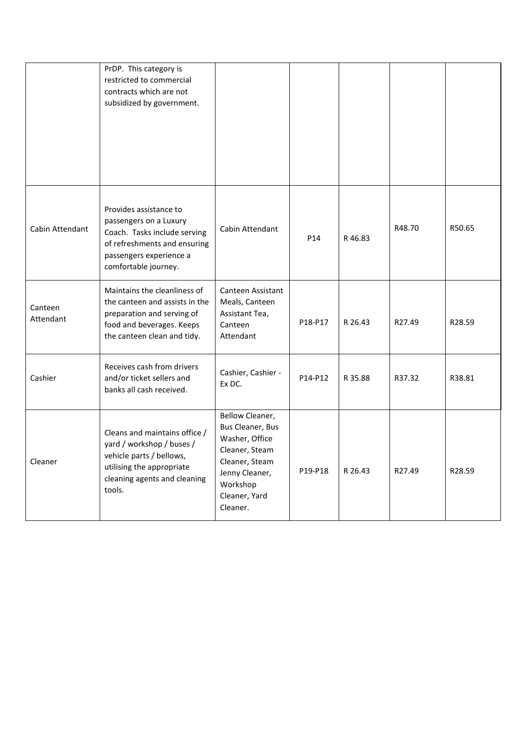|                      | PrDP. This category is<br>restricted to commercial<br>contracts which are not<br>subsidized by government.                                                          |                                                                                                                                                      |         |         |        |        |
|----------------------|---------------------------------------------------------------------------------------------------------------------------------------------------------------------|------------------------------------------------------------------------------------------------------------------------------------------------------|---------|---------|--------|--------|
| Cabin Attendant      | Provides assistance to<br>passengers on a Luxury<br>Coach. Tasks include serving<br>of refreshments and ensuring<br>passengers experience a<br>comfortable journey. | Cabin Attendant                                                                                                                                      | P14     | R 46.83 | R48.70 | R50.65 |
| Canteen<br>Attendant | Maintains the cleanliness of<br>the canteen and assists in the<br>preparation and serving of<br>food and beverages. Keeps<br>the canteen clean and tidy.            | Canteen Assistant<br>Meals, Canteen<br>Assistant Tea,<br>Canteen<br>Attendant                                                                        | P18-P17 | R 26.43 | R27.49 | R28.59 |
| Cashier              | Receives cash from drivers<br>and/or ticket sellers and<br>banks all cash received.                                                                                 | Cashier, Cashier -<br>Ex DC.                                                                                                                         | P14-P12 | R 35.88 | R37.32 | R38.81 |
| Cleaner              | Cleans and maintains office /<br>yard / workshop / buses /<br>vehicle parts / bellows,<br>utilising the appropriate<br>cleaning agents and cleaning<br>tools.       | Bellow Cleaner,<br>Bus Cleaner, Bus<br>Washer, Office<br>Cleaner, Steam<br>Cleaner, Steam<br>Jenny Cleaner,<br>Workshop<br>Cleaner, Yard<br>Cleaner. | P19-P18 | R 26.43 | R27.49 | R28.59 |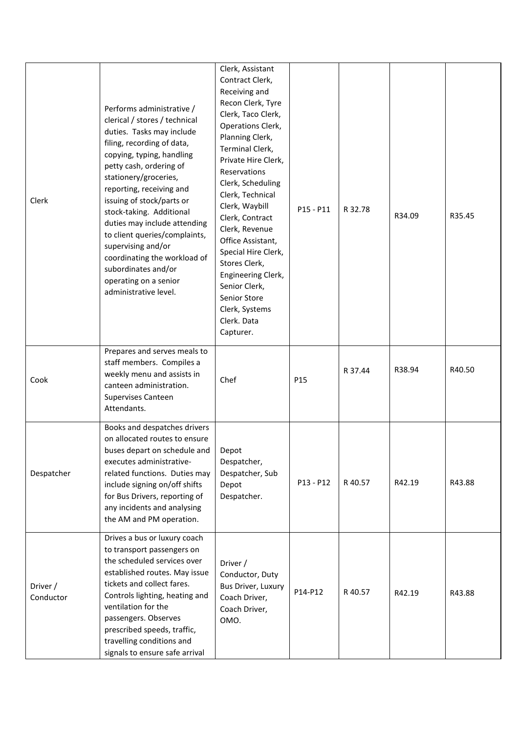| Clerk                 | Performs administrative /<br>clerical / stores / technical<br>duties. Tasks may include<br>filing, recording of data,<br>copying, typing, handling<br>petty cash, ordering of<br>stationery/groceries,<br>reporting, receiving and<br>issuing of stock/parts or<br>stock-taking. Additional<br>duties may include attending<br>to client queries/complaints,<br>supervising and/or<br>coordinating the workload of<br>subordinates and/or<br>operating on a senior<br>administrative level. | Clerk, Assistant<br>Contract Clerk,<br>Receiving and<br>Recon Clerk, Tyre<br>Clerk, Taco Clerk,<br>Operations Clerk,<br>Planning Clerk,<br>Terminal Clerk,<br>Private Hire Clerk,<br>Reservations<br>Clerk, Scheduling<br>Clerk, Technical<br>Clerk, Waybill<br>Clerk, Contract<br>Clerk, Revenue<br>Office Assistant,<br>Special Hire Clerk,<br>Stores Clerk,<br>Engineering Clerk,<br>Senior Clerk,<br>Senior Store<br>Clerk, Systems<br>Clerk. Data<br>Capturer. | P15 - P11 | R 32.78 | R34.09 | R35.45 |
|-----------------------|---------------------------------------------------------------------------------------------------------------------------------------------------------------------------------------------------------------------------------------------------------------------------------------------------------------------------------------------------------------------------------------------------------------------------------------------------------------------------------------------|---------------------------------------------------------------------------------------------------------------------------------------------------------------------------------------------------------------------------------------------------------------------------------------------------------------------------------------------------------------------------------------------------------------------------------------------------------------------|-----------|---------|--------|--------|
| Cook                  | Prepares and serves meals to<br>staff members. Compiles a<br>weekly menu and assists in<br>canteen administration.<br>Supervises Canteen<br>Attendants.                                                                                                                                                                                                                                                                                                                                     | Chef                                                                                                                                                                                                                                                                                                                                                                                                                                                                | P15       | R 37.44 | R38.94 | R40.50 |
| Despatcher            | Books and despatches drivers<br>on allocated routes to ensure<br>buses depart on schedule and   Depot<br>executes administrative-<br>related functions. Duties may<br>include signing on/off shifts<br>for Bus Drivers, reporting of<br>any incidents and analysing<br>the AM and PM operation.                                                                                                                                                                                             | Despatcher,<br>Despatcher, Sub<br>Depot<br>Despatcher.                                                                                                                                                                                                                                                                                                                                                                                                              | P13 - P12 | R 40.57 | R42.19 | R43.88 |
| Driver /<br>Conductor | Drives a bus or luxury coach<br>to transport passengers on<br>the scheduled services over<br>established routes. May issue<br>tickets and collect fares.<br>Controls lighting, heating and<br>ventilation for the<br>passengers. Observes<br>prescribed speeds, traffic,<br>travelling conditions and<br>signals to ensure safe arrival                                                                                                                                                     | Driver /<br>Conductor, Duty<br>Bus Driver, Luxury<br>Coach Driver,<br>Coach Driver,<br>OMO.                                                                                                                                                                                                                                                                                                                                                                         | P14-P12   | R 40.57 | R42.19 | R43.88 |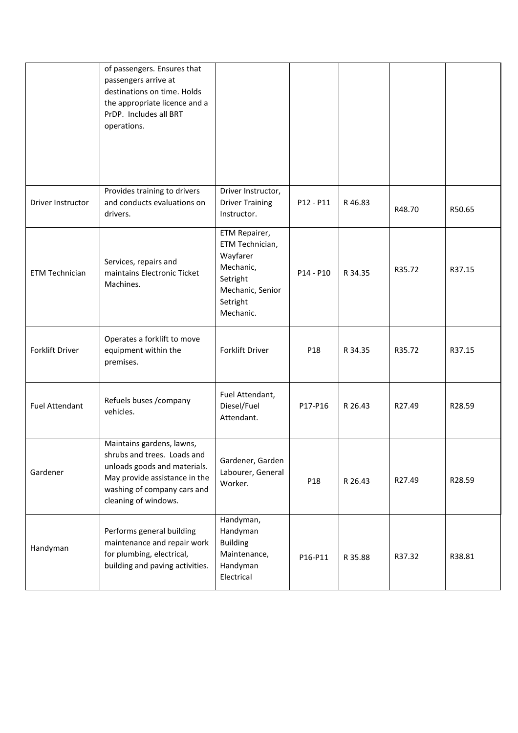|                       | of passengers. Ensures that<br>passengers arrive at<br>destinations on time. Holds<br>the appropriate licence and a<br>PrDP. Includes all BRT<br>operations.                     |                                                                                                                    |                 |         |        |        |
|-----------------------|----------------------------------------------------------------------------------------------------------------------------------------------------------------------------------|--------------------------------------------------------------------------------------------------------------------|-----------------|---------|--------|--------|
| Driver Instructor     | Provides training to drivers<br>and conducts evaluations on<br>drivers.                                                                                                          | Driver Instructor,<br><b>Driver Training</b><br>Instructor.                                                        | P12 - P11       | R46.83  | R48.70 | R50.65 |
| <b>ETM Technician</b> | Services, repairs and<br>maintains Electronic Ticket<br>Machines.                                                                                                                | ETM Repairer,<br>ETM Technician,<br>Wayfarer<br>Mechanic,<br>Setright<br>Mechanic, Senior<br>Setright<br>Mechanic. | $P14 - P10$     | R 34.35 | R35.72 | R37.15 |
| Forklift Driver       | Operates a forklift to move<br>equipment within the<br>premises.                                                                                                                 | Forklift Driver                                                                                                    | P <sub>18</sub> | R 34.35 | R35.72 | R37.15 |
| <b>Fuel Attendant</b> | Refuels buses /company<br>vehicles.                                                                                                                                              | Fuel Attendant,<br>Diesel/Fuel<br>Attendant.                                                                       | P17-P16         | R 26.43 | R27.49 | R28.59 |
| Gardener              | Maintains gardens, lawns,<br>shrubs and trees. Loads and<br>unloads goods and materials.<br>May provide assistance in the<br>washing of company cars and<br>cleaning of windows. | Gardener, Garden<br>Labourer, General<br>Worker.                                                                   | P18             | R 26.43 | R27.49 | R28.59 |
| Handyman              | Performs general building<br>maintenance and repair work<br>for plumbing, electrical,<br>building and paving activities.                                                         | Handyman,<br>Handyman<br><b>Building</b><br>Maintenance,<br>Handyman<br>Electrical                                 | P16-P11         | R 35.88 | R37.32 | R38.81 |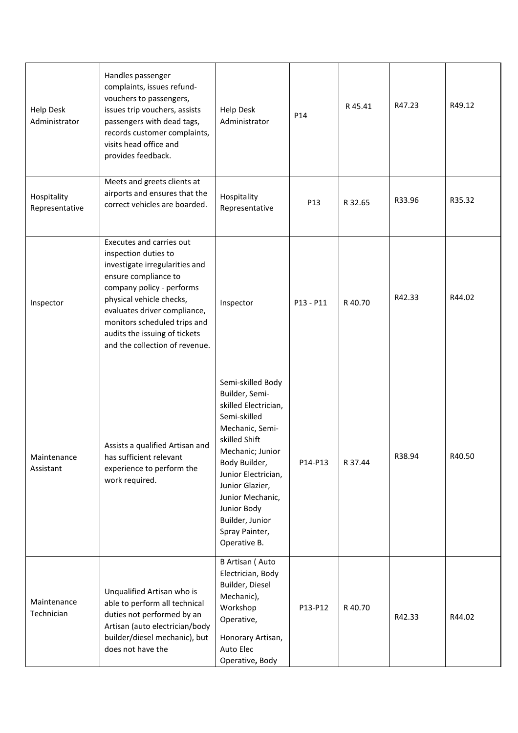| <b>Help Desk</b><br>Administrator | Handles passenger<br>complaints, issues refund-<br>vouchers to passengers,<br>issues trip vouchers, assists<br>passengers with dead tags,<br>records customer complaints,<br>visits head office and<br>provides feedback.                                                                              | <b>Help Desk</b><br>Administrator                                                                                                                                                                                                                                                      | P14             | R45.41  | R47.23 | R49.12 |
|-----------------------------------|--------------------------------------------------------------------------------------------------------------------------------------------------------------------------------------------------------------------------------------------------------------------------------------------------------|----------------------------------------------------------------------------------------------------------------------------------------------------------------------------------------------------------------------------------------------------------------------------------------|-----------------|---------|--------|--------|
| Hospitality<br>Representative     | Meets and greets clients at<br>airports and ensures that the<br>correct vehicles are boarded.                                                                                                                                                                                                          | Hospitality<br>Representative                                                                                                                                                                                                                                                          | P <sub>13</sub> | R 32.65 | R33.96 | R35.32 |
| Inspector                         | Executes and carries out<br>inspection duties to<br>investigate irregularities and<br>ensure compliance to<br>company policy - performs<br>physical vehicle checks,<br>evaluates driver compliance,<br>monitors scheduled trips and<br>audits the issuing of tickets<br>and the collection of revenue. | Inspector                                                                                                                                                                                                                                                                              | P13 - P11       | R40.70  | R42.33 | R44.02 |
| Maintenance<br>Assistant          | Assists a qualified Artisan and<br>has sufficient relevant<br>experience to perform the<br>work required.                                                                                                                                                                                              | Semi-skilled Body<br>Builder, Semi-<br>skilled Electrician,<br>Semi-skilled<br>Mechanic, Semi-<br>skilled Shift<br>Mechanic; Junior<br>Body Builder,<br>Junior Electrician,<br>Junior Glazier,<br>Junior Mechanic,<br>Junior Body<br>Builder, Junior<br>Spray Painter,<br>Operative B. | P14-P13         | R 37.44 | R38.94 | R40.50 |
| Maintenance<br>Technician         | Unqualified Artisan who is<br>able to perform all technical<br>duties not performed by an<br>Artisan (auto electrician/body<br>builder/diesel mechanic), but<br>does not have the                                                                                                                      | B Artisan (Auto<br>Electrician, Body<br>Builder, Diesel<br>Mechanic),<br>Workshop<br>Operative,<br>Honorary Artisan,<br>Auto Elec<br>Operative, Body                                                                                                                                   | P13-P12         | R 40.70 | R42.33 | R44.02 |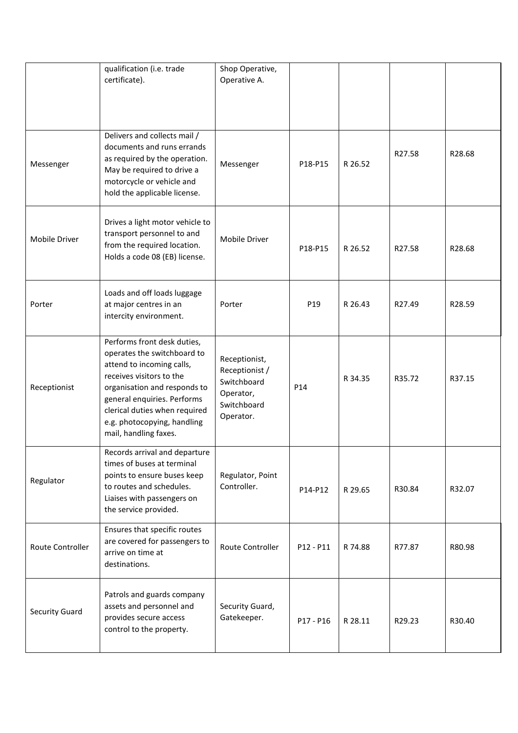|                       | qualification (i.e. trade<br>certificate).                                                                                                                                                                                                                                  | Shop Operative,<br>Operative A.                                                         |                 |         |        |        |
|-----------------------|-----------------------------------------------------------------------------------------------------------------------------------------------------------------------------------------------------------------------------------------------------------------------------|-----------------------------------------------------------------------------------------|-----------------|---------|--------|--------|
| Messenger             | Delivers and collects mail /<br>documents and runs errands<br>as required by the operation.<br>May be required to drive a<br>motorcycle or vehicle and<br>hold the applicable license.                                                                                      | Messenger                                                                               | P18-P15         | R 26.52 | R27.58 | R28.68 |
| Mobile Driver         | Drives a light motor vehicle to<br>transport personnel to and<br>from the required location.<br>Holds a code 08 (EB) license.                                                                                                                                               | Mobile Driver                                                                           | P18-P15         | R 26.52 | R27.58 | R28.68 |
| Porter                | Loads and off loads luggage<br>at major centres in an<br>intercity environment.                                                                                                                                                                                             | Porter                                                                                  | P19             | R 26.43 | R27.49 | R28.59 |
| Receptionist          | Performs front desk duties,<br>operates the switchboard to<br>attend to incoming calls,<br>receives visitors to the<br>organisation and responds to<br>general enquiries. Performs<br>clerical duties when required<br>e.g. photocopying, handling<br>mail, handling faxes. | Receptionist,<br>Receptionist /<br>Switchboard<br>Operator,<br>Switchboard<br>Operator. | P <sub>14</sub> | R 34.35 | R35.72 | R37.15 |
| Regulator             | Records arrival and departure<br>times of buses at terminal<br>points to ensure buses keep<br>to routes and schedules.<br>Liaises with passengers on<br>the service provided.                                                                                               | Regulator, Point<br>Controller.                                                         | P14-P12         | R 29.65 | R30.84 | R32.07 |
| Route Controller      | Ensures that specific routes<br>are covered for passengers to<br>arrive on time at<br>destinations.                                                                                                                                                                         | Route Controller                                                                        | P12 - P11       | R 74.88 | R77.87 | R80.98 |
| <b>Security Guard</b> | Patrols and guards company<br>assets and personnel and<br>provides secure access<br>control to the property.                                                                                                                                                                | Security Guard,<br>Gatekeeper.                                                          | P17 - P16       | R 28.11 | R29.23 | R30.40 |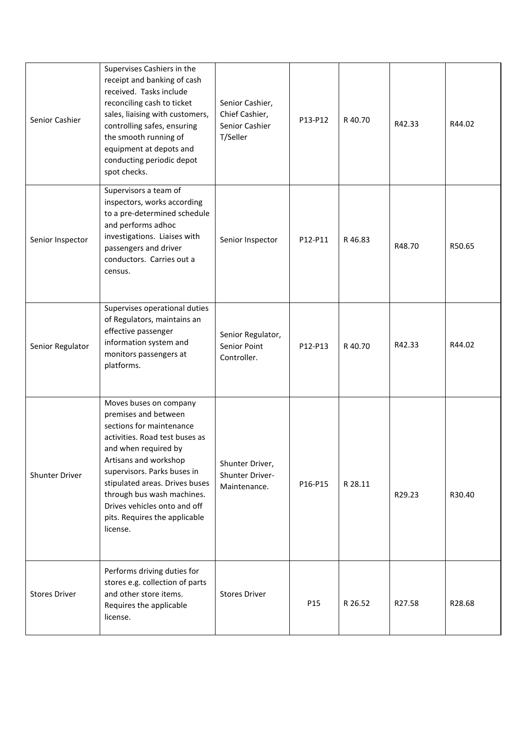| Senior Cashier        | Supervises Cashiers in the<br>receipt and banking of cash<br>received. Tasks include<br>reconciling cash to ticket<br>sales, liaising with customers,<br>controlling safes, ensuring<br>the smooth running of<br>equipment at depots and<br>conducting periodic depot<br>spot checks.                                                     | Senior Cashier,<br>Chief Cashier,<br>Senior Cashier<br>T/Seller | P13-P12 | R 40.70 | R42.33 | R44.02 |
|-----------------------|-------------------------------------------------------------------------------------------------------------------------------------------------------------------------------------------------------------------------------------------------------------------------------------------------------------------------------------------|-----------------------------------------------------------------|---------|---------|--------|--------|
| Senior Inspector      | Supervisors a team of<br>inspectors, works according<br>to a pre-determined schedule<br>and performs adhoc<br>investigations. Liaises with<br>passengers and driver<br>conductors. Carries out a<br>census.                                                                                                                               | Senior Inspector                                                | P12-P11 | R46.83  | R48.70 | R50.65 |
| Senior Regulator      | Supervises operational duties<br>of Regulators, maintains an<br>effective passenger<br>information system and<br>monitors passengers at<br>platforms.                                                                                                                                                                                     | Senior Regulator,<br>Senior Point<br>Controller.                | P12-P13 | R 40.70 | R42.33 | R44.02 |
| <b>Shunter Driver</b> | Moves buses on company<br>premises and between<br>sections for maintenance<br>activities. Road test buses as<br>and when required by<br>Artisans and workshop<br>supervisors. Parks buses in<br>stipulated areas. Drives buses<br>through bus wash machines.<br>Drives vehicles onto and off<br>pits. Requires the applicable<br>license. | Shunter Driver,<br>Shunter Driver-<br>Maintenance.              | P16-P15 | R 28.11 | R29.23 | R30.40 |
| <b>Stores Driver</b>  | Performs driving duties for<br>stores e.g. collection of parts<br>and other store items.<br>Requires the applicable<br>license.                                                                                                                                                                                                           | <b>Stores Driver</b>                                            | P15     | R 26.52 | R27.58 | R28.68 |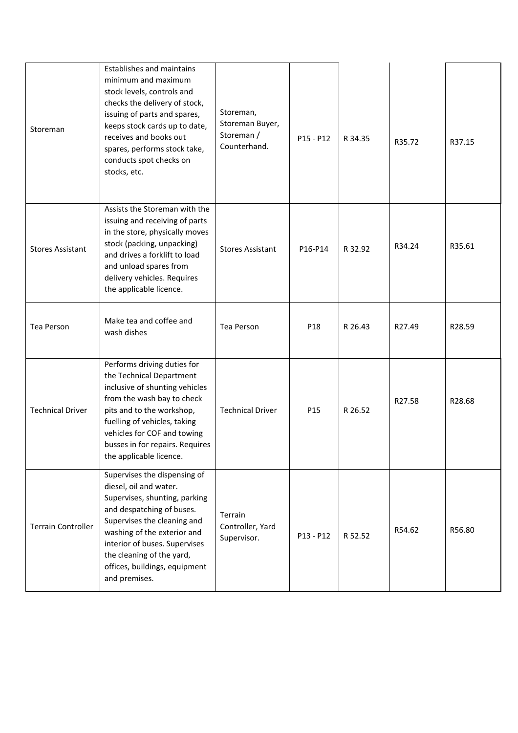| Storeman                  | Establishes and maintains<br>minimum and maximum<br>stock levels, controls and<br>checks the delivery of stock,<br>issuing of parts and spares,<br>keeps stock cards up to date,<br>receives and books out<br>spares, performs stock take,<br>conducts spot checks on<br>stocks, etc.              | Storeman,<br>Storeman Buyer,<br>Storeman /<br>Counterhand. | $P15 - P12$ | R 34.35 | R35.72 | R37.15 |
|---------------------------|----------------------------------------------------------------------------------------------------------------------------------------------------------------------------------------------------------------------------------------------------------------------------------------------------|------------------------------------------------------------|-------------|---------|--------|--------|
| <b>Stores Assistant</b>   | Assists the Storeman with the<br>issuing and receiving of parts<br>in the store, physically moves<br>stock (packing, unpacking)<br>and drives a forklift to load<br>and unload spares from<br>delivery vehicles. Requires<br>the applicable licence.                                               | <b>Stores Assistant</b>                                    | P16-P14     | R 32.92 | R34.24 | R35.61 |
| Tea Person                | Make tea and coffee and<br>wash dishes                                                                                                                                                                                                                                                             | Tea Person                                                 | P18         | R 26.43 | R27.49 | R28.59 |
| <b>Technical Driver</b>   | Performs driving duties for<br>the Technical Department<br>inclusive of shunting vehicles<br>from the wash bay to check<br>pits and to the workshop,<br>fuelling of vehicles, taking<br>vehicles for COF and towing<br>busses in for repairs. Requires<br>the applicable licence.                  | <b>Technical Driver</b>                                    | P15         | R 26.52 | R27.58 | R28.68 |
| <b>Terrain Controller</b> | Supervises the dispensing of<br>diesel, oil and water.<br>Supervises, shunting, parking<br>and despatching of buses.<br>Supervises the cleaning and<br>washing of the exterior and<br>interior of buses. Supervises<br>the cleaning of the yard,<br>offices, buildings, equipment<br>and premises. | Terrain<br>Controller, Yard<br>Supervisor.                 | P13 - P12   | R 52.52 | R54.62 | R56.80 |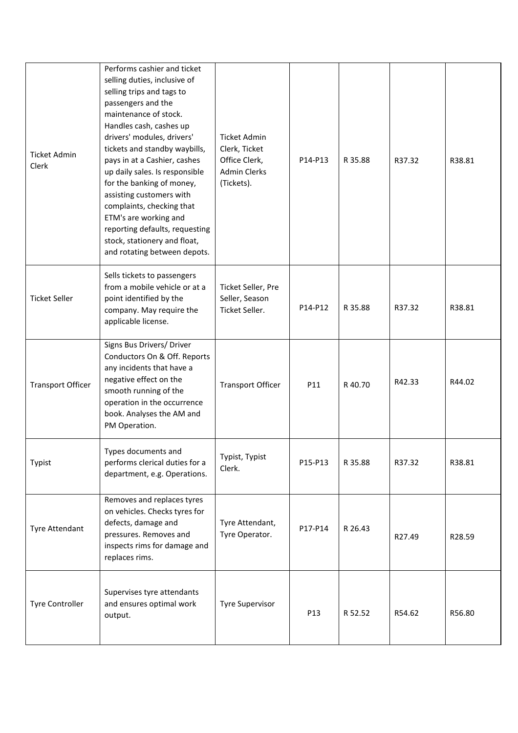| Ticket Admin<br>Clerk    | Performs cashier and ticket<br>selling duties, inclusive of<br>selling trips and tags to<br>passengers and the<br>maintenance of stock.<br>Handles cash, cashes up<br>drivers' modules, drivers'<br>tickets and standby waybills,<br>pays in at a Cashier, cashes<br>up daily sales. Is responsible<br>for the banking of money,<br>assisting customers with<br>complaints, checking that<br>ETM's are working and<br>reporting defaults, requesting<br>stock, stationery and float,<br>and rotating between depots. | <b>Ticket Admin</b><br>Clerk, Ticket<br>Office Clerk,<br><b>Admin Clerks</b><br>(Tickets). | P14-P13 | R 35.88 | R37.32 | R38.81 |
|--------------------------|----------------------------------------------------------------------------------------------------------------------------------------------------------------------------------------------------------------------------------------------------------------------------------------------------------------------------------------------------------------------------------------------------------------------------------------------------------------------------------------------------------------------|--------------------------------------------------------------------------------------------|---------|---------|--------|--------|
| <b>Ticket Seller</b>     | Sells tickets to passengers<br>from a mobile vehicle or at a<br>point identified by the<br>company. May require the<br>applicable license.                                                                                                                                                                                                                                                                                                                                                                           | Ticket Seller, Pre<br>Seller, Season<br>Ticket Seller.                                     | P14-P12 | R 35.88 | R37.32 | R38.81 |
| <b>Transport Officer</b> | Signs Bus Drivers/ Driver<br>Conductors On & Off. Reports<br>any incidents that have a<br>negative effect on the<br>smooth running of the<br>operation in the occurrence<br>book. Analyses the AM and<br>PM Operation.                                                                                                                                                                                                                                                                                               | <b>Transport Officer</b>                                                                   | P11     | R 40.70 | R42.33 | R44.02 |
| Typist                   | Types documents and<br>performs clerical duties for a<br>department, e.g. Operations.                                                                                                                                                                                                                                                                                                                                                                                                                                | Typist, Typist<br>Clerk.                                                                   | P15-P13 | R 35.88 | R37.32 | R38.81 |
| Tyre Attendant           | Removes and replaces tyres<br>on vehicles. Checks tyres for<br>defects, damage and<br>pressures. Removes and<br>inspects rims for damage and<br>replaces rims.                                                                                                                                                                                                                                                                                                                                                       | Tyre Attendant,<br>Tyre Operator.                                                          | P17-P14 | R 26.43 | R27.49 | R28.59 |
| <b>Tyre Controller</b>   | Supervises tyre attendants<br>and ensures optimal work<br>output.                                                                                                                                                                                                                                                                                                                                                                                                                                                    | <b>Tyre Supervisor</b>                                                                     | P13     | R 52.52 | R54.62 | R56.80 |